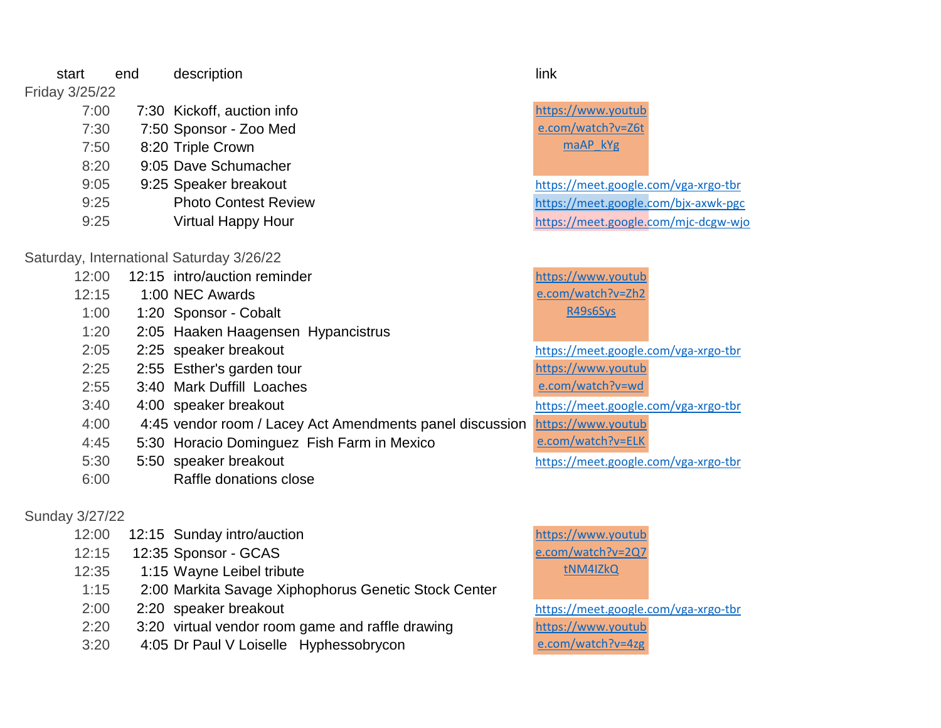start end description and the start link

## Friday 3/25/22

| 7:00 | 7:30 Kickoff, auction info  |
|------|-----------------------------|
| 7:30 | 7:50 Sponsor - Zoo Med      |
| 7:50 | 8:20 Triple Crown           |
| 8:20 | 9:05 Dave Schumacher        |
| 9:05 | 9:25 Speaker breakout       |
| 9:25 | <b>Photo Contest Reviet</b> |
| 9:25 | <b>Virtual Happy Hour</b>   |

## Saturday, International Saturday 3/26/22

| 12:00 | 12:15 intro/auction reminder |
|-------|------------------------------|
| 12:15 | 1:00 NEC Awards              |

- 1:00 1:20 Sponsor Cobalt
- 1:20 2:05 Haaken Haagensen Hypancistrus
- 
- 
- 2:25 2:55 Esther's garden tour
- 2:55 3:40 Mark Duffill Loaches
- 
- 4:00 4:45 vendor room / Lacey Act Amendments panel discussion
- 4:45 5:30 Horacio Dominguez Fish Farm in Mexico
- 5:30 5:50 speaker breakout <https://meet.google.com/vga-xrgo-tbr>
- 6:00 Raffle donations close

# Sunday 3/27/22

- 12:00 12:15 Sunday intro/auction
- 12:15 12:35 Sponsor GCAS
- 12:35 1:15 Wayne Leibel tribute
- 1:15 2:00 Markita Savage Xiphophorus Genetic Stock Center
- 
- 2:20 3:20 virtual vendor room game and raffle drawing
- 3:20 4:05 Dr Paul V Loiselle Hyphessobrycon

[https://www.youtub](https://www.youtube.com/watch?v=Z6tmaAP_kYg) [e.com/watch?v=Z6t](https://www.youtube.com/watch?v=Z6tmaAP_kYg) [maAP\\_kYg](https://www.youtube.com/watch?v=Z6tmaAP_kYg)

<https://meet.google.com/vga-xrgo-tbr> W and the contest Review <https://meet.google.com/bjx-axwk-pgc> Virtual Happy Hour **<https://meet.google.com/mjc-dcgw-wjo>** 

> [https://www.youtub](https://www.youtube.com/watch?v=Zh2R49s6Sys) [e.com/watch?v=Zh2](https://www.youtube.com/watch?v=Zh2R49s6Sys) [R49s6Sys](https://www.youtube.com/watch?v=Zh2R49s6Sys)

2:05 2:25 speaker breakout <https://meet.google.com/vga-xrgo-tbr> 3:40 4:00 speaker breakout <https://meet.google.com/vga-xrgo-tbr> [https://www.youtub](https://www.youtube.com/watch?v=wdWoCP-WOHs) [e.com/watch?v=wd](https://www.youtube.com/watch?v=wdWoCP-WOHs)

[https://www.youtub](https://www.youtube.com/watch?v=ELKZvwuQ7ec)

[e.com/watch?v=ELK](https://www.youtube.com/watch?v=ELKZvwuQ7ec)

[https://www.youtub](https://www.youtube.com/watch?v=2Q7tNM4IZkQ) [e.com/watch?v=2Q7](https://www.youtube.com/watch?v=2Q7tNM4IZkQ) [tNM4IZkQ](https://www.youtube.com/watch?v=2Q7tNM4IZkQ)

2:00 2:20 speaker breakout <https://meet.google.com/vga-xrgo-tbr> [https://www.youtub](https://www.youtube.com/watch?v=4zgC9nwn7gw) [e.com/watch?v=4zg](https://www.youtube.com/watch?v=4zgC9nwn7gw)